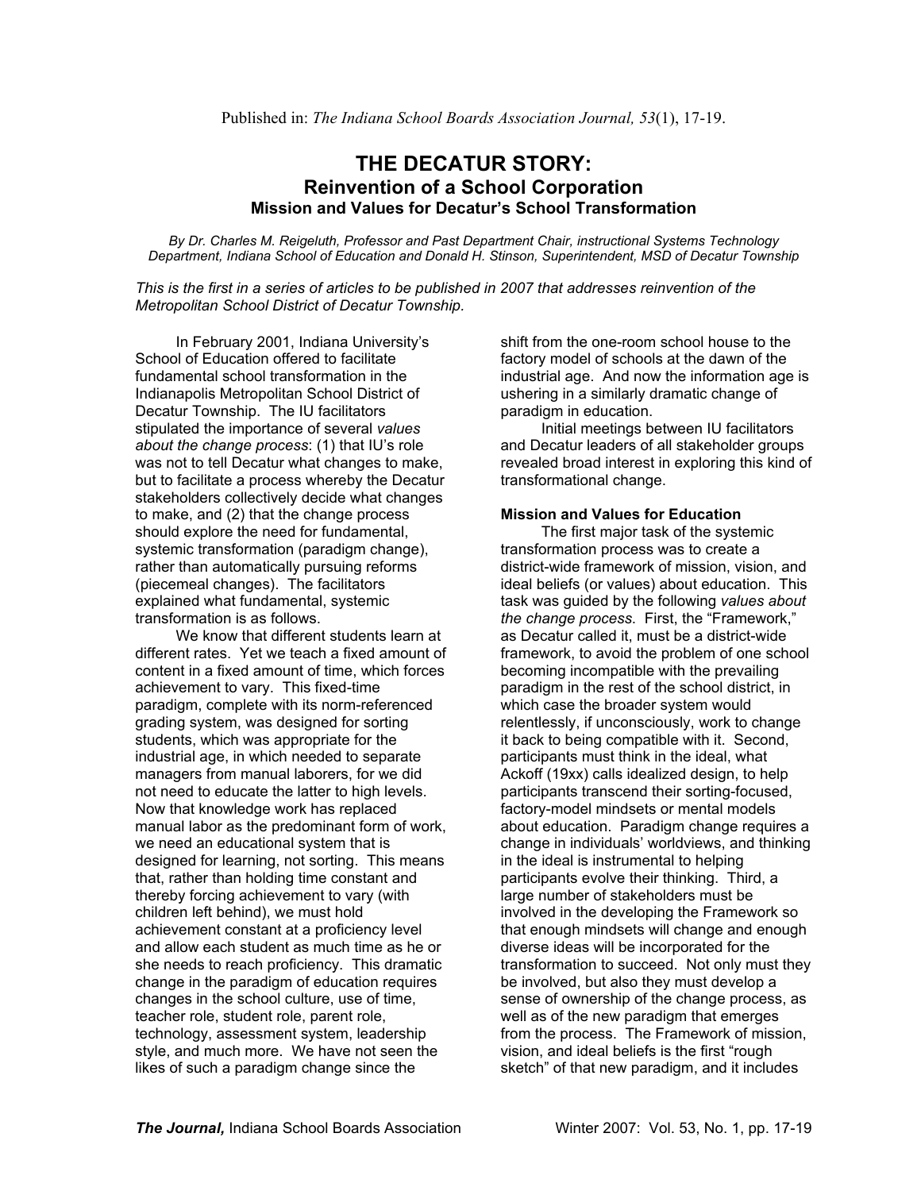# **THE DECATUR STORY: Reinvention of a School Corporation Mission and Values for Decatur's School Transformation**

*By Dr. Charles M. Reigeluth, Professor and Past Department Chair, instructional Systems Technology Department, Indiana School of Education and Donald H. Stinson, Superintendent, MSD of Decatur Township*

*This is the first in a series of articles to be published in 2007 that addresses reinvention of the Metropolitan School District of Decatur Township.*

In February 2001, Indiana University's School of Education offered to facilitate fundamental school transformation in the Indianapolis Metropolitan School District of Decatur Township. The IU facilitators stipulated the importance of several *values about the change process*: (1) that IU's role was not to tell Decatur what changes to make, but to facilitate a process whereby the Decatur stakeholders collectively decide what changes to make, and (2) that the change process should explore the need for fundamental, systemic transformation (paradigm change), rather than automatically pursuing reforms (piecemeal changes). The facilitators explained what fundamental, systemic transformation is as follows.

We know that different students learn at different rates. Yet we teach a fixed amount of content in a fixed amount of time, which forces achievement to vary. This fixed-time paradigm, complete with its norm-referenced grading system, was designed for sorting students, which was appropriate for the industrial age, in which needed to separate managers from manual laborers, for we did not need to educate the latter to high levels. Now that knowledge work has replaced manual labor as the predominant form of work, we need an educational system that is designed for learning, not sorting. This means that, rather than holding time constant and thereby forcing achievement to vary (with children left behind), we must hold achievement constant at a proficiency level and allow each student as much time as he or she needs to reach proficiency. This dramatic change in the paradigm of education requires changes in the school culture, use of time, teacher role, student role, parent role, technology, assessment system, leadership style, and much more. We have not seen the likes of such a paradigm change since the

shift from the one-room school house to the factory model of schools at the dawn of the industrial age. And now the information age is ushering in a similarly dramatic change of paradigm in education.

Initial meetings between IU facilitators and Decatur leaders of all stakeholder groups revealed broad interest in exploring this kind of transformational change.

# **Mission and Values for Education**

The first major task of the systemic transformation process was to create a district-wide framework of mission, vision, and ideal beliefs (or values) about education. This task was guided by the following *values about the change process*. First, the "Framework," as Decatur called it, must be a district-wide framework, to avoid the problem of one school becoming incompatible with the prevailing paradigm in the rest of the school district, in which case the broader system would relentlessly, if unconsciously, work to change it back to being compatible with it. Second, participants must think in the ideal, what Ackoff (19xx) calls idealized design, to help participants transcend their sorting-focused, factory-model mindsets or mental models about education. Paradigm change requires a change in individuals' worldviews, and thinking in the ideal is instrumental to helping participants evolve their thinking. Third, a large number of stakeholders must be involved in the developing the Framework so that enough mindsets will change and enough diverse ideas will be incorporated for the transformation to succeed. Not only must they be involved, but also they must develop a sense of ownership of the change process, as well as of the new paradigm that emerges from the process. The Framework of mission, vision, and ideal beliefs is the first "rough sketch" of that new paradigm, and it includes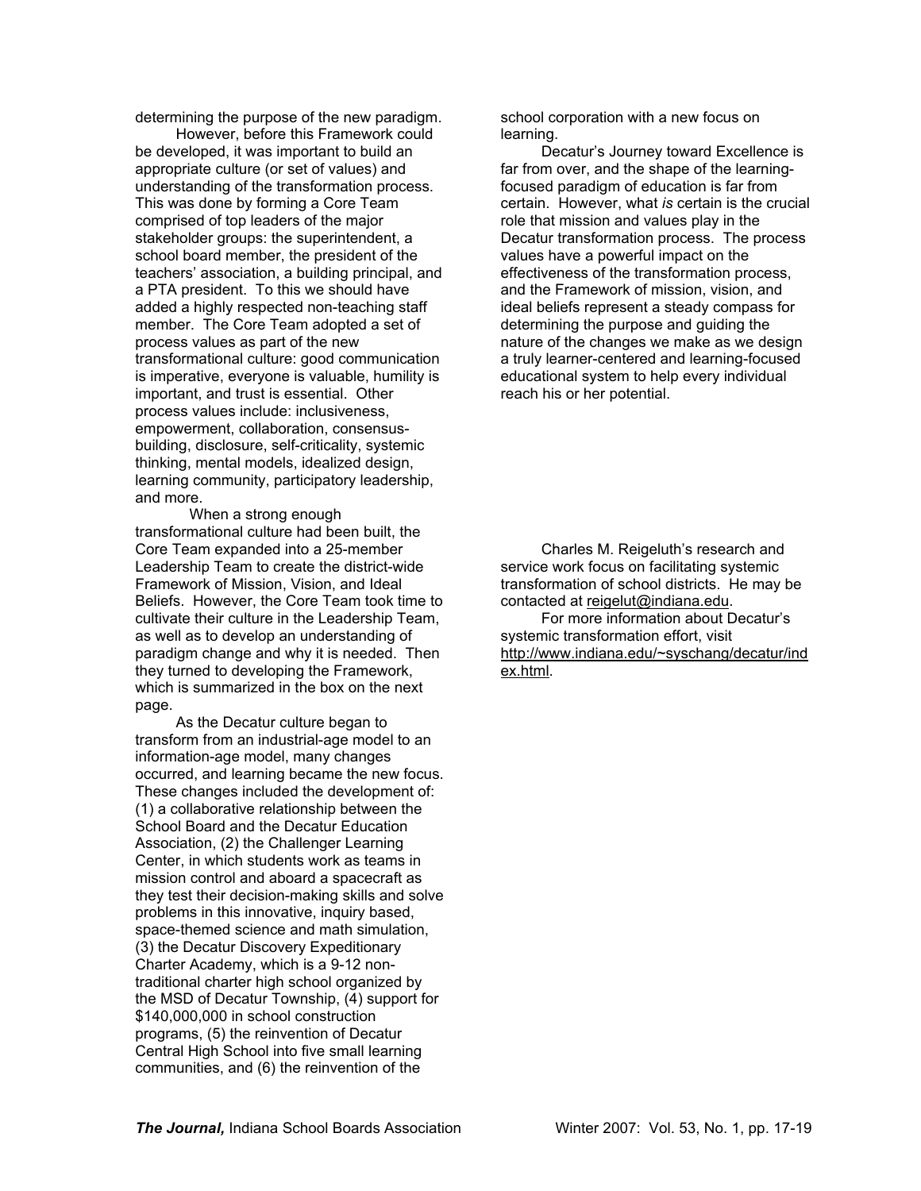determining the purpose of the new paradigm.

However, before this Framework could be developed, it was important to build an appropriate culture (or set of values) and understanding of the transformation process. This was done by forming a Core Team comprised of top leaders of the major stakeholder groups: the superintendent, a school board member, the president of the teachers' association, a building principal, and a PTA president. To this we should have added a highly respected non-teaching staff member. The Core Team adopted a set of process values as part of the new transformational culture: good communication is imperative, everyone is valuable, humility is important, and trust is essential. Other process values include: inclusiveness, empowerment, collaboration, consensusbuilding, disclosure, self-criticality, systemic thinking, mental models, idealized design, learning community, participatory leadership, and more.

When a strong enough transformational culture had been built, the Core Team expanded into a 25-member Leadership Team to create the district-wide Framework of Mission, Vision, and Ideal Beliefs. However, the Core Team took time to cultivate their culture in the Leadership Team, as well as to develop an understanding of paradigm change and why it is needed. Then they turned to developing the Framework, which is summarized in the box on the next page.

As the Decatur culture began to transform from an industrial-age model to an information-age model, many changes occurred, and learning became the new focus. These changes included the development of: (1) a collaborative relationship between the School Board and the Decatur Education Association, (2) the Challenger Learning Center, in which students work as teams in mission control and aboard a spacecraft as they test their decision-making skills and solve problems in this innovative, inquiry based, space-themed science and math simulation, (3) the Decatur Discovery Expeditionary Charter Academy, which is a 9-12 nontraditional charter high school organized by the MSD of Decatur Township, (4) support for \$140,000,000 in school construction programs, (5) the reinvention of Decatur Central High School into five small learning communities, and (6) the reinvention of the

school corporation with a new focus on learning.

Decatur's Journey toward Excellence is far from over, and the shape of the learningfocused paradigm of education is far from certain. However, what *is* certain is the crucial role that mission and values play in the Decatur transformation process. The process values have a powerful impact on the effectiveness of the transformation process, and the Framework of mission, vision, and ideal beliefs represent a steady compass for determining the purpose and guiding the nature of the changes we make as we design a truly learner-centered and learning-focused educational system to help every individual reach his or her potential.

Charles M. Reigeluth's research and service work focus on facilitating systemic transformation of school districts. He may be contacted at reigelut@indiana.edu.

For more information about Decatur's systemic transformation effort, visit http://www.indiana.edu/~syschang/decatur/ind ex.html.